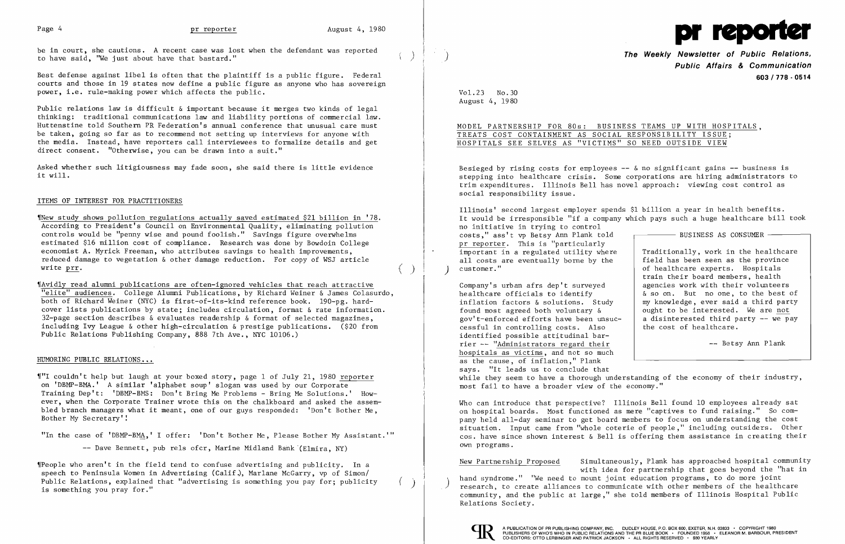

be in court, she cautions. A recent case was lost when the defendant was reported to have said, "We just about have that bastard."

Best defense against libel is often that the plaintiff is a public figure. Federal courts and those in 19 states now define a public figure as anyone who has sovereign power, i.e. rule-making power which affects the public.

'[New study shows pollution regulations actually saved estimated \$21 billion in '78. According to President's Council on Environmental Quality, eliminating pollution controls would be "penny wise and pound foolish." Savings figure overwhelms estimated \$16 million cost of compliance. Research was done by Bowdoin College economist A. Myrick Freeman, who attributes savings to health improvements, reduced damage to vegetation & other damage reduction. For copy of WSJ article write prr.

Public relations law is difficult & important because it merges two kinds of legal thinking: traditional communications law and liability portions of commercial law. Huttenstine told Southern PR Federation's annual conference that unusual care must be taken, going so far as to recommend not setting up interviews for anyone with the media. Instead, have reporters call interviewees to formalize details and get direct consent. "Otherwise, you can be drawn into a suit."

Asked whether such litigiousness may fade soon, she said there is little evidence it will.

## ITEMS OF INTEREST FOR PRACTITIONERS

**The Weekly Newsletter of Public Relations, Public Affairs & Communication 603/778·0514** 

Besieged by rising costs for employees  $--$  & no significant gains  $--$  business is stepping into healthcare crisis. Some corporations are hiring administrators to trim expenditures. Illinois Bell has novel approach: viewing cost control as social responsibility issue.

'IAvidly read alumni publications are often-ignored vehicles that reach attractive "elite" audiences. College Alumni Publications, by Richard Weiner & James Colasurdo, both of Richard Weiner (NYC) is first-of-its-kind reference book. 190-pg. hardcover lists publications by state; includes circulation, format & rate information. 32-page section describes  $\&$  evaluates readership  $\&$  format of selected magazines, including Ivy League & other high-circulation & prestige publications. (\$20 from Public Relations Publishing Company, 888 7th Ave., NYC 10106.)

## HUMORING PUBLIC RELATIONS...

,["1 couldn't help but laugh at your boxed story, page 1 of July 21, 1980 reporter on 'DBMP-BMA.' A similar 'alphabet soup' slogan was used by our Corporate Training Dep't: 'DBMP-BMS: Don't Bring Me Problems - Bring Me Solutions.' However, when the Corporate Trainer wrote this on the chalkboard and asked the assembled branch managers what it meant, one of our guys responded: 'Don't Bother Me, Bother My Secretary'!

"In the case of 'DBMP-BMA,' I offer: 'Don't Bother Me, Please Bother My Assistant.'"

-- Dave Bennett, pub rels ofcr, Marine Midland Bank (Elmira, NY)

Company's urban afrs dep't surveyed healthcare officials to identify inflation factors & solutions. Study found most agreed both voluntary & gov't-enforced efforts have been unsuccessful in controlling costs. Also identified possible attitudinal barrier  $-$ - "Administrators regard their hospitals as victims, and not so much as the cause, of inflation," Plank says. "It leads us to conclude that while they seem to have a thorough understanding of the economy of their industry, most fail to have a broader view of the economy." & so on. But no one, to the best of my knowledge, ever said a third party ought to be interested. We are not a disinterested third party -- we pay the cost of healthcare. -- Betsy Ann Plank

New Partnership Proposed hand syndrome." "We need to mount joint education programs, to do more joint<br>research, to create alliances to communicate with other members of the healtho community, and the public at large," she told members of Illinois Hospital Public Relations Society. Simultaneously, Plank has approached hospital community with idea for partnership that goes beyond the "hat in research, to create alliances to communicate with other members of the healthcare



'IPeople who aren't in the field tend to confuse advertising and publicity. In a speech to Peninsula Women in Advertising (Calif.), Marlane McGarry, vp of Simon/ Public Relations, explained that "advertising is something you pay for; publicity is something you pray for."

 $\left( \right)$ 

 $(\phantom{a})$ 

 $($   $)$ 

Vo1.23 No.30 August 4, 1980

MODEL PARTNERSHIP FOR 80s: BUSINESS TEAMS UP WITH HOSPITALS, TREATS COST CONTAINMENT AS SOCIAL RESPONSIBILITY ISSUE; HOSPITALS SEE SELVES AS "VICTIMS" SO NEED OUTSIDE VIEW

Illinois' second largest employer spends \$1 billion a year in health benefits. It would be irresponsible "if a company which pays such a huge healthcare bill took no initiative in trying to control costs," ass't vp Betsy Ann Plank told pr reporter. This is "particularly important in a regulated utility where all costs are eventually borne by the customer." BUSINESS AS CONSUMER Traditionally, work in the healthcare field has been seen as the province of healthcare experts. Hospitals

train their board members, health agencies work with their volunteers

Who can introduce that perspective? Illinois Bell found 10 employees already sat on hospital boards. Most functioned as mere "captives to fund raising." So company held all-day seminar to get board members to focus on understanding the cost situation. Input came from "whole coterie of people," including outsiders. Other cos. have since shown interest & Bell is offering them assistance in creating their own programs.

I